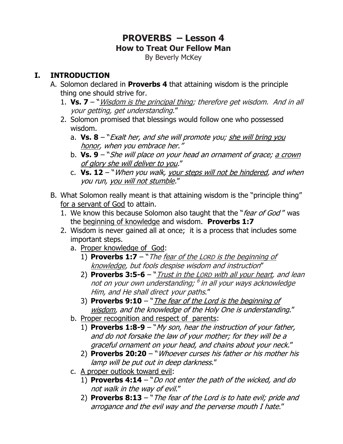# **PROVERBS – Lesson 4 How to Treat Our Fellow Man**

By Beverly McKey

#### **I. INTRODUCTION**

- A. Solomon declared in **Proverbs 4** that attaining wisdom is the principle thing one should strive for.
	- 1. **Vs. 7**  "Wisdom is the principal thing; therefore get wisdom. And in all your getting, get understanding."
	- 2. Solomon promised that blessings would follow one who possessed wisdom.
		- a. **Vs. 8** "Exalt her, and she will promote you; she will bring you honor, when you embrace her."
		- b. **Vs. 9** "She will place on your head an ornament of grace; a crown of glory she will deliver to you."
		- c. Vs. 12 "When you walk, your steps will not be hindered, and when you run, you will not stumble."
- B. What Solomon really meant is that attaining wisdom is the "principle thing" for a servant of God to attain.
	- 1. We know this because Solomon also taught that the "fear of God" was the beginning of knowledge and wisdom. **Proverbs 1:7**
	- 2. Wisdom is never gained all at once; it is a process that includes some important steps.
		- a. Proper knowledge of God:
			- 1) **Proverbs 1:7** "The fear of the LORD is the beginning of knowledge, but fools despise wisdom and instruction"
			- 2) **Proverbs 3:5-6** "Trust in the LORD with all your heart, and lean not on your own understanding; <sup>6</sup> in all your ways acknowledge Him, and He shall direct your paths."
			- 3) **Proverbs 9:10** "*The fear of the Lord is the beginning of* wisdom, and the knowledge of the Holy One is understanding."
		- b. Proper recognition and respect of parents:
			- 1) **Proverbs 1:8-9** "My son, hear the instruction of your father, and do not forsake the law of your mother; for they will be a graceful ornament on your head, and chains about your neck."
			- 2) **Proverbs 20:20** "Whoever curses his father or his mother his lamp will be put out in deep darkness."
		- c. A proper outlook toward evil:
			- 1) **Proverbs 4:14** "Do not enter the path of the wicked, and do not walk in the way of evil."
			- 2) **Proverbs 8:13** "The fear of the Lord is to hate evil; pride and arrogance and the evil way and the perverse mouth I hate."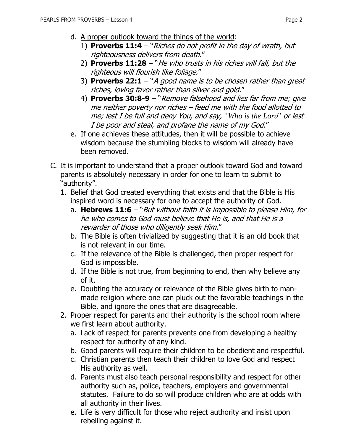- d. A proper outlook toward the things of the world:
	- 1) **Proverbs 11:4**  "Riches do not profit in the day of wrath, but righteousness delivers from death."
	- 2) **Proverbs 11:28** "He who trusts in his riches will fall, but the righteous will flourish like foliage."
	- 3) **Proverbs 22:1** "A good name is to be chosen rather than great riches, loving favor rather than silver and gold."
	- 4) **Proverbs 30:8-9** "Remove falsehood and lies far from me; give me neither poverty nor riches – feed me with the food allotted to me; lest I be full and deny You, and say, ' *Who is the Lord'* or lest I be poor and steal, and profane the name of my God."
- e. If one achieves these attitudes, then it will be possible to achieve wisdom because the stumbling blocks to wisdom will already have been removed.
- C. It is important to understand that a proper outlook toward God and toward parents is absolutely necessary in order for one to learn to submit to "authority".
	- 1. Belief that God created everything that exists and that the Bible is His inspired word is necessary for one to accept the authority of God.
		- a. **[Hebrews 11:6](https://www.biblegateway.com/passage/?search=Hebrews+11:6&version=NKJV)** "But without faith it is impossible to please Him, for he who comes to God must believe that He is, and that He is a rewarder of those who diligently seek Him."
		- b. The Bible is often trivialized by suggesting that it is an old book that is not relevant in our time.
		- c. If the relevance of the Bible is challenged, then proper respect for God is impossible.
		- d. If the Bible is not true, from beginning to end, then why believe any of it.
		- e. Doubting the accuracy or relevance of the Bible gives birth to manmade religion where one can pluck out the favorable teachings in the Bible, and ignore the ones that are disagreeable.
	- 2. Proper respect for parents and their authority is the school room where we first learn about authority.
		- a. Lack of respect for parents prevents one from developing a healthy respect for authority of any kind.
		- b. Good parents will require their children to be obedient and respectful.
		- c. Christian parents then teach their children to love God and respect His authority as well.
		- d. Parents must also teach personal responsibility and respect for other authority such as, police, teachers, employers and governmental statutes. Failure to do so will produce children who are at odds with all authority in their lives.
		- e. Life is very difficult for those who reject authority and insist upon rebelling against it.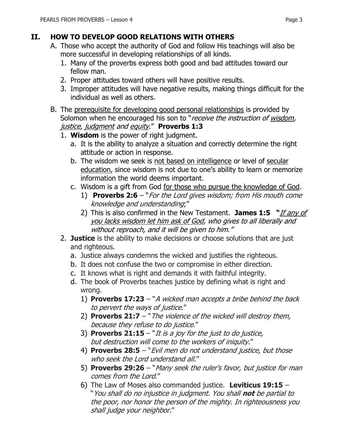### **II. HOW TO DEVELOP GOOD RELATIONS WITH OTHERS**

- A. Those who accept the authority of God and follow His teachings will also be more successful in developing relationships of all kinds.
	- 1. Many of the proverbs express both good and bad attitudes toward our fellow man.
	- 2. Proper attitudes toward others will have positive results.
	- 3. Improper attitudes will have negative results, making things difficult for the individual as well as others.
- B. The prerequisite for developing good personal relationships is provided by Solomon when he encouraged his son to "receive the instruction of wisdom, justice, judgment and equity." **Proverbs 1:3**
	- 1. **Wisdom** is the power of right judgment.
		- a. It is the ability to analyze a situation and correctly determine the right attitude or action in response.
		- b. The wisdom we seek is not based on intelligence or level of secular education, since wisdom is not due to one's ability to learn or memorize information the world deems important.
		- c. Wisdom is a gift from God for those who pursue the knowledge of God.
			- 1) **Proverbs 2:6** "For the Lord gives wisdom; from His mouth come knowledge and understanding;"
			- 2) This is also confirmed in the New Testament. **James 1:5 "**If any of you lacks wisdom let him ask of God, who gives to all liberally and without reproach, and it will be given to him."
	- 2. **Justice** is the ability to make decisions or choose solutions that are just and righteous.
		- a. Justice always condemns the wicked and justifies the righteous.
		- b. It does not confuse the two or compromise in either direction.
		- c. It knows what is right and demands it with faithful integrity.
		- d. The book of Proverbs teaches justice by defining what is right and wrong.
			- 1) **Proverbs 17:23** "A wicked man accepts a bribe behind the back to pervert the ways of justice."
			- 2) **Proverbs 21:7** "The violence of the wicked will destroy them, because they refuse to do justice."
			- 3) **Proverbs 21:15**  "It is a joy for the just to do justice, but destruction will come to the workers of iniquity."
			- 4) **Proverbs 28:5** "Evil men do not understand justice, but those who seek the Lord understand all."
			- 5) **Proverbs 29:26** "Many seek the ruler's favor, but justice for man comes from the Lord."
			- 6) The Law of Moses also commanded justice. **Leviticus 19:15** "You shall do no injustice in judgment. You shall **not** be partial to the poor, nor honor the person of the mighty. In righteousness you shall judge your neighbor."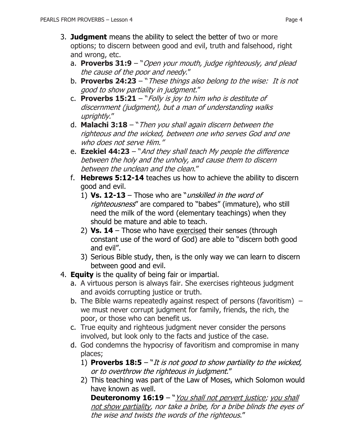- 3. **Judgment** means the ability to select the better of two or more options; to discern between good and evil, truth and falsehood, right and wrong, etc.
	- a. **Proverbs 31:9** "Open your mouth, judge righteously, and plead the cause of the poor and needy."
	- b. **Proverbs 24:23** "These things also belong to the wise: It is not good to show partiality in judgment."
	- c. **Proverbs 15:21** "Folly is joy to him who is destitute of discernment (judgment), but a man of understanding walks uprightly."
	- d. **Malachi 3:18**  "Then you shall again discern between the righteous and the wicked, between one who serves God and one who does not serve Him."
	- e. **Ezekiel 44:23** "And they shall teach My people the difference between the holy and the unholy, and cause them to discern between the unclean and the clean."
	- f. **Hebrews 5:12-14** teaches us how to achieve the ability to discern good and evil.
		- 1) **Vs. 12-13**  Those who are "unskilled in the word of righteousness" are compared to "babes" (immature), who still need the milk of the word (elementary teachings) when they should be mature and able to teach.
		- 2) **Vs. 14**  Those who have exercised their senses (through constant use of the word of God) are able to "discern both good and evil".
		- 3) Serious Bible study, then, is the only way we can learn to discern between good and evil.
- 4. **Equity** is the quality of being fair or impartial.
	- a. A virtuous person is always fair. She exercises righteous judgment and avoids corrupting justice or truth.
	- b. The Bible warns repeatedly against respect of persons (favoritism)  $$ we must never corrupt judgment for family, friends, the rich, the poor, or those who can benefit us.
	- c. True equity and righteous judgment never consider the persons involved, but look only to the facts and justice of the case.
	- d. God condemns the hypocrisy of favoritism and compromise in many places;
		- 1) **Proverbs 18:5** "It is not good to show partiality to the wicked, or to overthrow the righteous in judgment."
		- 2) This teaching was part of the Law of Moses, which Solomon would have known as well.

**Deuteronomy 16:19** – "*You shall not pervert justice; you shall* not show partiality, nor take a bribe, for a bribe blinds the eyes of the wise and twists the words of the righteous."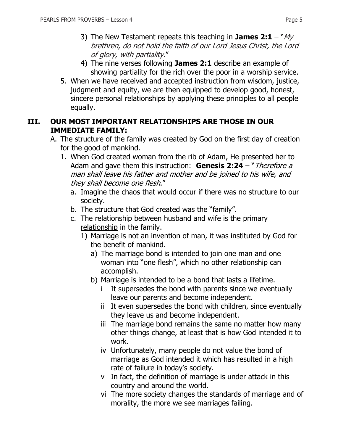- 3) The New Testament repeats this teaching in **James 2:1** " $My$ brethren, do not hold the faith of our Lord Jesus Christ, the Lord of glory, with partiality."
- 4) The nine verses following **James 2:1** describe an example of showing partiality for the rich over the poor in a worship service.
- 5. When we have received and accepted instruction from wisdom, justice, judgment and equity, we are then equipped to develop good, honest, sincere personal relationships by applying these principles to all people equally.

#### **III. OUR MOST IMPORTANT RELATIONSHIPS ARE THOSE IN OUR IMMEDIATE FAMILY:**

- A. The structure of the family was created by God on the first day of creation for the good of mankind.
	- 1. When God created woman from the rib of Adam, He presented her to Adam and gave them this instruction: **Genesis 2:24** – "Therefore a man shall leave his father and mother and be joined to his wife, and they shall become one flesh."
		- a. Imagine the chaos that would occur if there was no structure to our society.
		- b. The structure that God created was the "family".
		- c. The relationship between husband and wife is the primary relationship in the family.
			- 1) Marriage is not an invention of man, it was instituted by God for the benefit of mankind.
				- a) The marriage bond is intended to join one man and one woman into "one flesh", which no other relationship can accomplish.
				- b) Marriage is intended to be a bond that lasts a lifetime.
					- i It supersedes the bond with parents since we eventually leave our parents and become independent.
					- ii It even supersedes the bond with children, since eventually they leave us and become independent.
					- iii The marriage bond remains the same no matter how many other things change, at least that is how God intended it to work.
					- iv Unfortunately, many people do not value the bond of marriage as God intended it which has resulted in a high rate of failure in today's society.
					- v In fact, the definition of marriage is under attack in this country and around the world.
					- vi The more society changes the standards of marriage and of morality, the more we see marriages failing.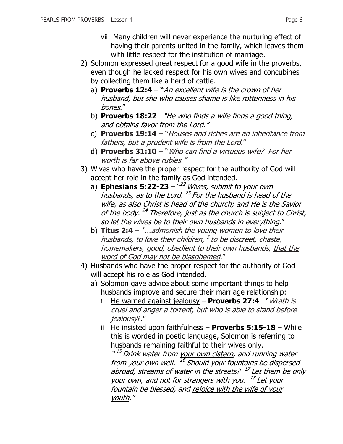- vii Many children will never experience the nurturing effect of having their parents united in the family, which leaves them with little respect for the institution of marriage.
- 2) Solomon expressed great respect for a good wife in the proverbs, even though he lacked respect for his own wives and concubines by collecting them like a herd of cattle.
	- a) **[Proverbs 12:4](https://www.biblegateway.com/passage/?search=Proverbs+12:4&version=NKJV) "**An excellent wife is the crown of her husband, but she who causes shame is like rottenness in his bones."
	- b) **[Proverbs 18:22](https://www.biblegateway.com/passage/?search=Proverbs+18:22&version=NKJV)** "He who finds a wife finds a good thing, and obtains favor from the Lord."
	- c) **Proverbs 19:14** "Houses and riches are an inheritance from fathers, but a prudent wife is from the Lord."
	- d) **Proverbs 31:10** "Who can find a virtuous wife? For her worth is far above rubies."
- 3) Wives who have the proper respect for the authority of God will accept her role in the family as God intended.
	- a) **Ephesians 5:22-23** "<sup>22</sup> Wives, submit to your own husbands, <u>as to the Lord</u>. <sup>23</sup> For the husband is head of the wife, as also Christ is head of the church; and He is the Savior of the body. <sup>24</sup> Therefore, just as the church is subject to Christ, so let the wives be to their own husbands in everything."
	- b) **Titus 2:4** "...admonish the young women to love their husbands, to love their children, <sup>5</sup> to be discreet, chaste, homemakers, good, obedient to their own husbands, that the word of God may not be blasphemed."
- 4) Husbands who have the proper respect for the authority of God will accept his role as God intended.
	- a) Solomon gave advice about some important things to help husbands improve and secure their marriage relationship:
		- i He warned against jealousy **[Proverbs 27:4](https://www.biblegateway.com/passage/?search=Proverbs+6:34&version=NKJV)** "Wrath is cruel and anger a torrent, but who is able to stand before jealousy?."
		- ii He insisted upon faithfulness **Proverbs 5:15-18** While this is worded in poetic language, Solomon is referring to husbands remaining faithful to their wives only.

"<sup>15</sup> Drink water from <u>your own cistern</u>, and running water from <u>your own well</u>. <sup>16</sup> Should your fountains be dispersed abroad, streams of water in the streets? <sup>17</sup> Let them be only your own, and not for strangers with you. 18 Let your fountain be blessed, and rejoice with the wife of your youth."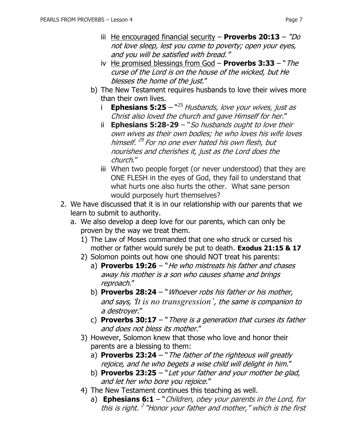- iii He encouraged financial security **Proverbs 20:13** "Do not love sleep, lest you come to poverty; open your eyes, and you will be satisfied with bread."
- iv He promised blessings from God **Proverbs 3:33**  "The curse of the Lord is on the house of the wicked, but He blesses the home of the just."
- b) The New Testament requires husbands to love their wives more than their own lives.
	- i **Ephesians 5:25** <sup>~25</sup> Husbands, love your wives, just as Christ also loved the church and gave Himself for her."
	- ii **Ephesians 5:28-29** "So husbands ought to love their own wives as their own bodies; he who loves his wife loves himself. 29 For no one ever hated his own flesh, but nourishes and cherishes it, just as the Lord does the church."
	- iii When two people forget (or never understood) that they are ONE FLESH in the eyes of God, they fail to understand that what hurts one also hurts the other. What sane person would purposely hurt themselves?
- 2. We have discussed that it is in our relationship with our parents that we learn to submit to authority.
	- a. We also develop a deep love for our parents, which can only be proven by the way we treat them.
		- 1) The Law of Moses commanded that one who struck or cursed his mother or father would surely be put to death. **Exodus 21:15 & 17**
		- 2) Solomon points out how one should NOT treat his parents:
			- a) **Proverbs 19:26** "*He who mistreats his father and chases* away his mother is a son who causes shame and brings reproach."
			- b) **Proverbs 28:24** "Whoever robs his father or his mother, and says, '*It is no transgression'*, the same is companion to a destroyer."
			- c) **Proverbs 30:17** "There is a generation that curses its father and does not bless its mother."
		- 3) However, Solomon knew that those who love and honor their parents are a blessing to them:
			- a) **Proverbs 23:24** "The father of the righteous will greatly rejoice, and he who begets a wise child will delight in him."
			- b) **Proverbs 23:25** "Let your father and your mother be glad, and let her who bore you rejoice."
		- 4) The New Testament continues this teaching as well.
			- a) **Ephesians 6:1** "*Children, obey your parents in the Lord, for* this is right.<sup>2</sup> "Honor your father and mother," which is the first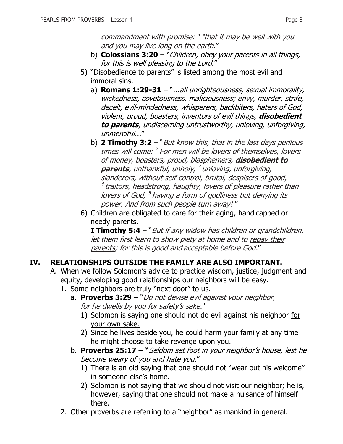commandment with promise: <sup>3</sup> "that it may be well with you and you may live long on the earth."

- b) **Colossians 3:20** "*Children, obey your parents in all things,* for this is well pleasing to the Lord."
- 5) "Disobedience to parents" is listed among the most evil and immoral sins.
	- a) **Romans 1:29-31** "...all unrighteousness, sexual immorality, wickedness, covetousness, maliciousness; envy, murder, strife, deceit, evil-mindedness, whisperers, backbiters, haters of God, violent, proud, boasters, inventors of evil things, **disobedient to parents**, undiscerning untrustworthy, unloving, unforgiving, unmerciful..."
	- b) **2 Timothy 3:2** "But know this, that in the last days perilous times will come: <sup>2</sup> For men will be lovers of themselves, lovers of money, boasters, proud, blasphemers, **disobedient to parents**, unthankful, unholy, 3 unloving, unforgiving, slanderers, without self-control, brutal, despisers of good,  $^4$  traitors, headstrong, haughty, lovers of pleasure rather than lovers of God, <sup>5</sup> having a form of godliness but denying its power. And from such people turn away! "
- 6) Children are obligated to care for their aging, handicapped or needy parents.

**I Timothy 5:4** – "*But if any widow has children or grandchildren*, let them first learn to show piety at home and to repay their parents; for this is good and acceptable before God."

#### **IV. RELATIONSHIPS OUTSIDE THE FAMILY ARE ALSO IMPORTANT.**

- A. When we follow Solomon's advice to practice wisdom, justice, judgment and equity, developing good relationships our neighbors will be easy.
	- 1. Some neighbors are truly "next door" to us.
		- a. **Proverbs 3:29** "Do not devise evil against your neighbor, for he dwells by you for safety's sake."
			- 1) Solomon is saying one should not do evil against his neighbor for your own sake.
			- 2) Since he lives beside you, he could harm your family at any time he might choose to take revenge upon you.
		- b. **Proverbs 25:17 – "**Seldom set foot in your neighbor's house, lest he become weary of you and hate you."
			- 1) There is an old saying that one should not "wear out his welcome" in someone else's home.
			- 2) Solomon is not saying that we should not visit our neighbor; he is, however, saying that one should not make a nuisance of himself there.
	- 2. Other proverbs are referring to a "neighbor" as mankind in general.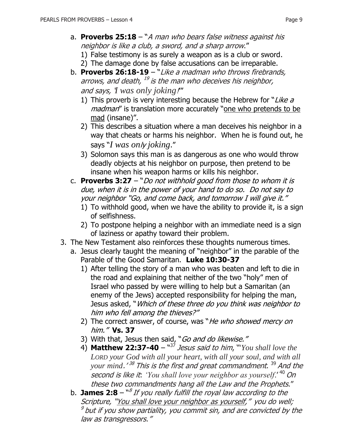- a. **Proverbs 25:18** "A man who bears false witness against his neighbor is like a club, a sword, and a sharp arrow."
	- 1) False testimony is as surely a weapon as is a club or sword.
	- 2) The damage done by false accusations can be irreparable.
- b. **Proverbs 26:18-19** "Like a madman who throws firebrands, arrows, and death, <sup>19</sup> is the man who deceives his neighbor, and says, '*I was only joking*!'"
	- 1) This proverb is very interesting because the Hebrew for "Like  $a$ madman" is translation more accurately "one who pretends to be mad (insane)".
	- 2) This describes a situation where a man deceives his neighbor in a way that cheats or harms his neighbor. When he is found out, he says "*I was on*ly *joking*."
	- 3) Solomon says this man is as dangerous as one who would throw deadly objects at his neighbor on purpose, then pretend to be insane when his weapon harms or kills his neighbor.
- c. **Proverbs 3:27** "Do not withhold good from those to whom it is due, when it is in the power of your hand to do so. Do not say to your neighbor "Go, and come back, and tomorrow I will give it."
	- 1) To withhold good, when we have the ability to provide it, is a sign of selfishness.
	- 2) To postpone helping a neighbor with an immediate need is a sign of laziness or apathy toward their problem.
- 3. The New Testament also reinforces these thoughts numerous times.
	- a. Jesus clearly taught the meaning of "neighbor" in the parable of the Parable of the Good Samaritan. **Luke 10:30-37**
		- 1) After telling the story of a man who was beaten and left to die in the road and explaining that neither of the two "holy" men of Israel who passed by were willing to help but a Samaritan (an enemy of the Jews) accepted responsibility for helping the man, Jesus asked, "Which of these three do you think was neighbor to him who fell among the thieves?"
		- 2) The correct answer, of course, was "*He who showed mercy on* him." **Vs. 37**
		- 3) With that, Jesus then said, "Go and do likewise."
		- 4) **Matthew 22:37-40** " <sup>37</sup> Jesus said to him, "'*You shall love the LORD your God with all your heart, with all your soul, and with all your mind*.' 38 This is the first and great commandment. <sup>39</sup> And the second is like it: *'You shall love your neighbor as yourself*.' <sup>40</sup> On these two commandments hang all the Law and the Prophets."
	- b. **James 2:8** <sup>*n8</sup> If you really fulfill the royal law according to the*</sup> Scripture, "You shall love your neighbor as yourself," you do well;  $^9$  but if you show partiality, you commit sin, and are convicted by the law as transgressors."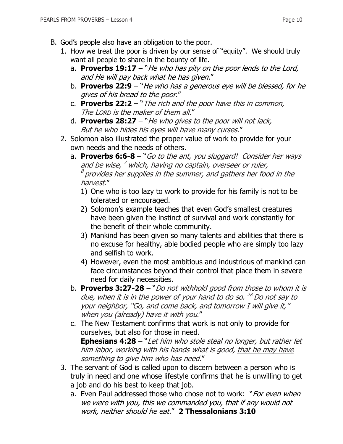- B. God's people also have an obligation to the poor.
	- 1. How we treat the poor is driven by our sense of "equity". We should truly want all people to share in the bounty of life.
		- a. **Proverbs 19:17** "He who has pity on the poor lends to the Lord, and He will pay back what he has given."
		- b. **Proverbs 22:9** "He who has a generous eye will be blessed, for he gives of his bread to the poor."
		- c. **Proverbs 22:2** "The rich and the poor have this in common, The LORD is the maker of them all."
		- d. **Proverbs 28:27** "He who gives to the poor will not lack, But he who hides his eyes will have many curses."
	- 2. Solomon also illustrated the proper value of work to provide for your own needs and the needs of others.
		- a. **Proverbs 6:6-8** "Go to the ant, you sluggard! Consider her ways and be wise, <sup>7</sup> which, having no captain, overseer or ruler,  $^{\rm 8}$  provides her supplies in the summer, and gathers her food in the harvest."
			- 1) One who is too lazy to work to provide for his family is not to be tolerated or encouraged.
			- 2) Solomon's example teaches that even God's smallest creatures have been given the instinct of survival and work constantly for the benefit of their whole community.
			- 3) Mankind has been given so many talents and abilities that there is no excuse for healthy, able bodied people who are simply too lazy and selfish to work.
			- 4) However, even the most ambitious and industrious of mankind can face circumstances beyond their control that place them in severe need for daily necessities.
		- b. **Proverbs 3:27-28** "Do not withhold good from those to whom it is due, when it is in the power of your hand to do so. <sup>28</sup> Do not say to your neighbor, "Go, and come back, and tomorrow I will give it," when you (already) have it with you."
		- c. The New Testament confirms that work is not only to provide for ourselves, but also for those in need.

**Ephesians 4:28** – "Let him who stole steal no longer, but rather let him labor, working with his hands what is good, that he may have something to give him who has need."

- 3. The servant of God is called upon to discern between a person who is truly in need and one whose lifestyle confirms that he is unwilling to get a job and do his best to keep that job.
	- a. Even Paul addressed those who chose not to work: "*For even when* we were with you, this we commanded you, that if any would not work, neither should he eat." **2 Thessalonians 3:10**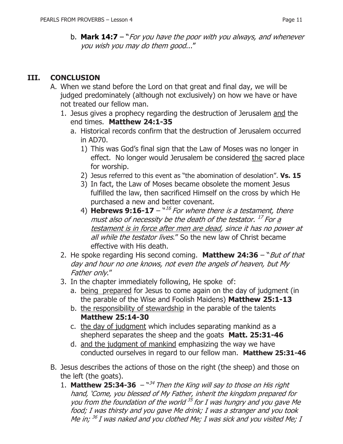b. **Mark 14:7** – "For you have the poor with you always, and whenever you wish you may do them good..."

## **III. CONCLUSION**

- A. When we stand before the Lord on that great and final day, we will be judged predominately (although not exclusively) on how we have or have not treated our fellow man.
	- 1. Jesus gives a prophecy regarding the destruction of Jerusalem and the end times. **Matthew 24:1-35**
		- a. Historical records confirm that the destruction of Jerusalem occurred in AD70.
			- 1) This was God's final sign that the Law of Moses was no longer in effect. No longer would Jerusalem be considered the sacred place for worship.
			- 2) Jesus referred to this event as "the abomination of desolation". **Vs. 15**
			- 3) In fact, the Law of Moses became obsolete the moment Jesus fulfilled the law, then sacrificed Himself on the cross by which He purchased a new and better covenant.
			- 4) **Hebrews 9:16-17**  $\frac{16}{16}$  For where there is a testament, there must also of necessity be the death of the testator. <sup>17</sup> For <u>a</u> testament is in force after men are dead, since it has no power at all while the testator lives." So the new law of Christ became effective with His death.
	- 2. He spoke regarding His second coming. **Matthew 24:36** "But of that day and hour no one knows, not even the angels of heaven, but My Father only."
	- 3. In the chapter immediately following, He spoke of:
		- a. being prepared for Jesus to come again on the day of judgment (in the parable of the Wise and Foolish Maidens) **Matthew 25:1-13**
		- b. the responsibility of stewardship in the parable of the talents **Matthew 25:14-30**
		- c. the day of judgment which includes separating mankind as a shepherd separates the sheep and the goats **Matt. 25:31-46**
		- d. and the judgment of mankind emphasizing the way we have conducted ourselves in regard to our fellow man. **Matthew 25:31-46**
- B. Jesus describes the actions of those on the right (the sheep) and those on the left (the goats).
	- 1. **Matthew 25:34-36**  $-$ <sup>n34</sup> Then the King will say to those on His right hand, 'Come, you blessed of My Father, inherit the kingdom prepared for you from the foundation of the world <sup>35</sup> for I was hungry and you gave Me food; I was thirsty and you gave Me drink; I was a stranger and you took Me in; <sup>36</sup> I was naked and you clothed Me; I was sick and you visited Me; I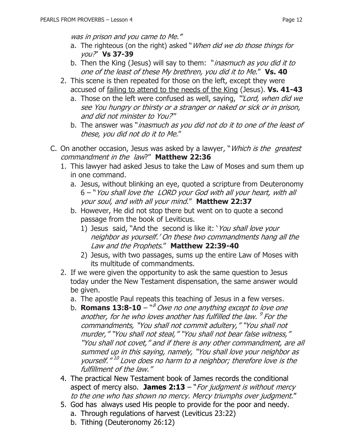was in prison and you came to Me.'"

- a. The righteous (on the right) asked "When did we do those things for you?" **Vs 37-39**
- b. Then the King (Jesus) will say to them: "*inasmuch as you did it to* one of the least of these My brethren, you did it to Me." **Vs. 40**
- 2. This scene is then repeated for those on the left, except they were accused of failing to attend to the needs of the King (Jesus). **Vs. 41-43**
	- a. Those on the left were confused as well, saying, "Lord, when did we see You hungry or thirsty or a stranger or naked or sick or in prison, and did not minister to You?'"
	- b. The answer was "*inasmuch as you did not do it to one of the least of* these, you did not do it to Me."
- C. On another occasion, Jesus was asked by a lawyer, "*Which is the greatest* commandment in the law?" **Matthew 22:36**
	- 1. This lawyer had asked Jesus to take the Law of Moses and sum them up in one command.
		- a. Jesus, without blinking an eye, quoted a scripture from Deuteronomy 6 – "You shall love the LORD your God with all your heart, with all your soul, and with all your mind." **Matthew 22:37**
		- b. However, He did not stop there but went on to quote a second passage from the book of Leviticus.
			- 1) Jesus said, "And the second is like it: 'You shall love your neighbor as yourself.' On these two commandments hang all the Law and the Prophets." **Matthew 22:39-40**
			- 2) Jesus, with two passages, sums up the entire Law of Moses with its multitude of commandments.
	- 2. If we were given the opportunity to ask the same question to Jesus today under the New Testament dispensation, the same answer would be given.
		- a. The apostle Paul repeats this teaching of Jesus in a few verses.
		- b. **Romans 13:8-10**  $^{\text{w8}}$  Owe no one anything except to love one another, for he who loves another has fulfilled the law. <sup>9</sup> For the commandments, "You shall not commit adultery," "You shall not murder," "You shall not steal," "You shall not bear false witness," "You shall not covet," and if there is any other commandment, are all summed up in this saying, namely, "You shall love your neighbor as yourself." 10 Love does no harm to a neighbor; therefore love is the fulfillment of the law."
	- 4. The practical New Testament book of James records the conditional aspect of mercy also. **James 2:13** – "For judgment is without mercy to the one who has shown no mercy. Mercy triumphs over judgment."
	- 5. God has always used His people to provide for the poor and needy.
		- a. Through regulations of harvest (Leviticus 23:22)
		- b. Tithing (Deuteronomy 26:12)